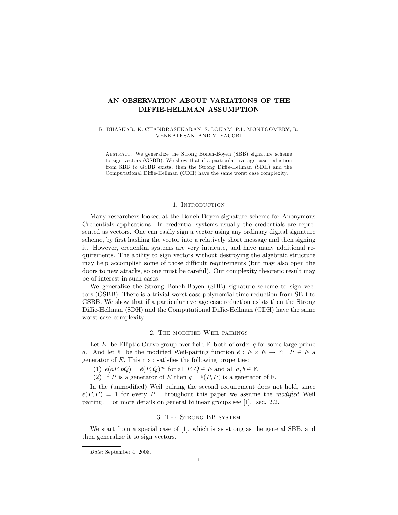# AN OBSERVATION ABOUT VARIATIONS OF THE DIFFIE-HELLMAN ASSUMPTION

R. BHASKAR, K. CHANDRASEKARAN, S. LOKAM, P.L. MONTGOMERY, R. VENKATESAN, AND Y. YACOBI

Abstract. We generalize the Strong Boneh-Boyen (SBB) signature scheme to sign vectors (GSBB). We show that if a particular average case reduction from SBB to GSBB exists, then the Strong Diffie-Hellman (SDH) and the Computational Diffie-Hellman (CDH) have the same worst case complexity.

## 1. Introduction

Many researchers looked at the Boneh-Boyen signature scheme for Anonymous Credentials applications. In credential systems usually the credentials are represented as vectors. One can easily sign a vector using any ordinary digital signature scheme, by first hashing the vector into a relatively short message and then signing it. However, credential systems are very intricate, and have many additional requirements. The ability to sign vectors without destroying the algebraic structure may help accomplish some of those difficult requirements (but may also open the doors to new attacks, so one must be careful). Our complexity theoretic result may be of interest in such cases.

We generalize the Strong Boneh-Boyen (SBB) signature scheme to sign vectors (GSBB). There is a trivial worst-case polynomial time reduction from SBB to GSBB. We show that if a particular average case reduction exists then the Strong Diffie-Hellman (SDH) and the Computational Diffie-Hellman (CDH) have the same worst case complexity.

## 2. The modified Weil pairings

Let E be Elliptic Curve group over field  $\mathbb{F}$ , both of order q for some large prime q. And let  $\hat{e}$  be the modified Weil-pairing function  $\hat{e} : E \times E \to \mathbb{F}$ ;  $P \in E$  a generator of  $E$ . This map satisfies the following properties:

(1)  $\hat{e}(aP, bQ) = \hat{e}(P, Q)^{ab}$  for all  $P, Q \in E$  and all  $a, b \in \mathbb{F}$ .

(2) If P is a generator of E then  $g = \hat{e}(P, P)$  is a generator of F.

In the (unmodified) Weil pairing the second requirement does not hold, since  $e(P, P) = 1$  for every P. Throughout this paper we assume the modified Weil pairing. For more details on general bilinear groups see [1], sec. 2.2.

# 3. The Strong BB system

We start from a special case of [1], which is as strong as the general SBB, and then generalize it to sign vectors.

Date: September 4, 2008.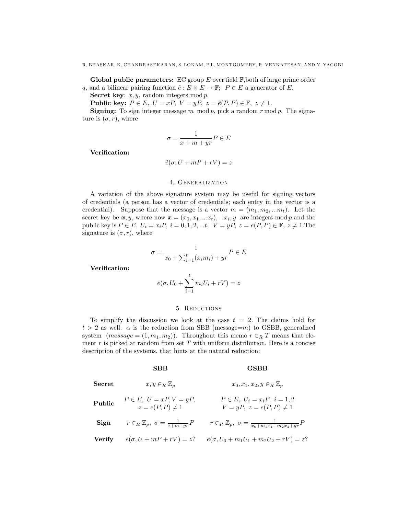**Global public parameters:** EC group  $E$  over field  $\mathbb{F}$ , both of large prime order q, and a bilinear pairing function  $\hat{e} : E \times E \to \mathbb{F}$ ;  $P \in E$  a generator of E.

Secret key:  $x, y$ , random integers mod  $p$ .

Public key:  $P \in E$ ,  $U = xP$ ,  $V = yP$ ,  $z = \hat{e}(P, P) \in \mathbb{F}$ ,  $z \neq 1$ .

**Signing:** To sign integer message m mod p, pick a random  $r \mod p$ . The signature is  $(\sigma, r)$ , where

$$
\sigma = \frac{1}{x + m + yr} P \in E
$$

Verification:

$$
\hat{e}(\sigma, U + mP + rV) = z
$$

# 4. Generalization

A variation of the above signature system may be useful for signing vectors of credentials (a person has a vector of credentials; each entry in the vector is a credential). Suppose that the message is a vector  $m = (m_1, m_2, ... m_t)$ . Let the secret key be  $x, y$ , where now  $\boldsymbol{x} = (x_0, x_1, ... x_t), x_i, y$  are integers mod p and the public key is  $P \in E$ ,  $U_i = x_iP$ ,  $i = 0, 1, 2, ...t$ ,  $V = yP$ ,  $z = e(P, P) \in \mathbb{F}$ ,  $z \neq 1$ . The signature is  $(\sigma, r)$ , where

$$
\sigma = \frac{1}{x_0 + \sum_{i=1}^t (x_i m_i) + yr} P \in E
$$

Verification:

$$
e(\sigma, U_0 + \sum_{i=1}^t m_i U_i + rV) = z
$$

## 5. Reductions

To simplify the discussion we look at the case  $t = 2$ . The claims hold for  $t > 2$  as well.  $\alpha$  is the reduction from SBB (message=m) to GSBB, generalized system  $(message = (1, m_1, m_2))$ . Throughout this memo  $r \in_R T$  means that element  $r$  is picked at random from set  $T$  with uniform distribution. Here is a concise description of the systems, that hints at the natural reduction:

### SBB GSBB

| Secret        | $x, y \in_R \mathbb{Z}_p$                                 | $x_0, x_1, x_2, y \in_R \mathbb{Z}_p$                                        |
|---------------|-----------------------------------------------------------|------------------------------------------------------------------------------|
| Public        | $P \in E$ , $U = xP$ , $V = yP$ ,<br>$z = e(P, P) \neq 1$ | $P \in E$ , $U_i = x_i P$ , $i = 1, 2$<br>$V = yP, z = e(P, P) \neq 1$       |
| Sign          | $r \in_R \mathbb{Z}_p$ , $\sigma = \frac{1}{x+m+yr}P$     | $r \in_R \mathbb{Z}_p$ , $\sigma = \frac{1}{x_0 + m_1 x_1 + m_2 x_2 + yr} P$ |
| <b>Verify</b> | $e(\sigma, U + mP + rV) = z$ ?                            | $e(\sigma, U_0 + m_1U_1 + m_2U_2 + rV) = z$ ?                                |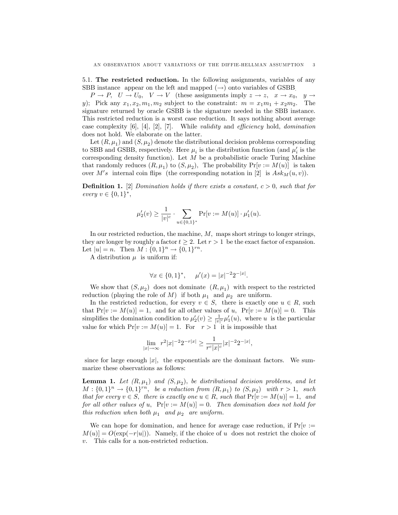5.1. The restricted reduction. In the following assignments, variables of any SBB instance appear on the left and mapped  $(\rightarrow)$  onto variables of GSBB.

 $P \to P$ ,  $U \to U_0$ ,  $V \to V$  (these assignments imply  $z \to z$ ,  $x \to x_0$ ,  $y \to z_0$ y); Pick any  $x_1, x_2, m_1, m_2$  subject to the constraint:  $m = x_1m_1 + x_2m_2$ . The signature returned by oracle GSBB is the signature needed in the SBB instance. This restricted reduction is a worst case reduction. It says nothing about average case complexity  $[6]$ ,  $[4]$ ,  $[2]$ ,  $[7]$ . While validity and efficiency hold, domination does not hold. We elaborate on the latter.

Let  $(R, \mu_1)$  and  $(S, \mu_2)$  denote the distributional decision problems corresponding to SBB and GSBB, respectively. Here  $\mu_i$  is the distribution function (and  $\mu'_i$  is the corresponding density function). Let  $M$  be a probabilistic oracle Turing Machine that randomly reduces  $(R, \mu_1)$  to  $(S, \mu_2)$ , The probability  $Pr[v := M(u)]$  is taken over M's internal coin flips (the corresponding notation in [2] is  $Ask_M(u, v)$ ).

**Definition 1.** [2] Domination holds if there exists a constant,  $c > 0$ , such that for every  $v \in \{0, 1\}^*,$ 

$$
\mu'_2(v) \ge \frac{1}{|v|^c} \cdot \sum_{u \in \{0,1\}^*} \Pr[v := M(u)] \cdot \mu'_1(u).
$$

In our restricted reduction, the machine,  $M$ , maps short strings to longer strings, they are longer by roughly a factor  $t > 2$ . Let  $r > 1$  be the exact factor of expansion. Let  $|u| = n$ . Then  $M : \{0, 1\}^n \to \{0, 1\}^{rn}$ .

A distribution  $\mu$  is uniform if:

$$
\forall x \in \{0,1\}^*, \quad \mu'(x) = |x|^{-2} 2^{-|x|}.
$$

We show that  $(S, \mu_2)$  does not dominate  $(R, \mu_1)$  with respect to the restricted reduction (playing the role of M) if both  $\mu_1$  and  $\mu_2$  are uniform.

In the restricted reduction, for every  $v \in S$ , there is exactly one  $u \in R$ , such that  $Pr[v := M(u)] = 1$ , and for all other values of u,  $Pr[v := M(u)] = 0$ . This simplifies the domination condition to  $\mu'_2(v) \geq \frac{1}{|v|^c} \mu'_1(u)$ , where u is the particular value for which  $Pr[v := M(u)] = 1$ . For  $r > 1$  it is impossible that

$$
\lim_{|x| \to \infty} r^2 |x|^{-2} 2^{-r|x|} \ge \frac{1}{r^c |x|^c} |x|^{-2} 2^{-|x|},
$$

since for large enough  $|x|$ , the exponentials are the dominant factors. We summarize these observations as follows:

**Lemma 1.** Let  $(R, \mu_1)$  and  $(S, \mu_2)$ , be distributional decision problems, and let  $M: \{0,1\}^n \to \{0,1\}^{rn}$ , be a reduction from  $(R, \mu_1)$  to  $(S, \mu_2)$  with  $r > 1$ , such that for every  $v \in S$ , there is exactly one  $u \in R$ , such that  $Pr[v := M(u)] = 1$ , and for all other values of u,  $Pr[v := M(u)] = 0$ . Then domination does not hold for this reduction when both  $\mu_1$  and  $\mu_2$  are uniform.

We can hope for domination, and hence for average case reduction, if  $Pr[v :=$  $M(u) = O(\exp(-r|u|)).$  Namely, if the choice of u does not restrict the choice of v: This calls for a non-restricted reduction.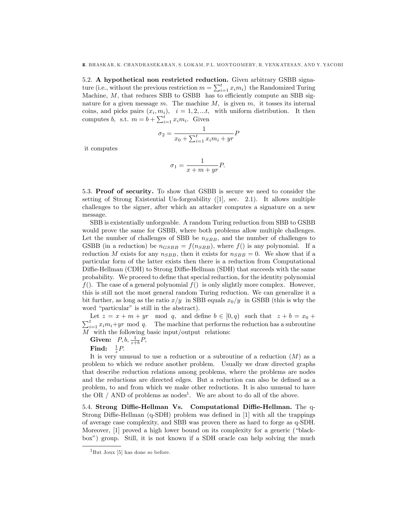5.2. A hypothetical non restricted reduction. Given arbitrary GSBB signature (i.e., without the previous restriction  $m = \sum_{i=1}^{t} x_i m_i$ ) the Randomized Turing Machine,  $M$ , that reduces SBB to GSBB has to efficiently compute an SBB signature for a given message  $m$ . The machine  $M$ , is given  $m$ , it tosses its internal coins, and picks pairs  $(x_i, m_i)$ ,  $i = 1, 2, \dots t$ , with uniform distribution. It then computes b, s.t.  $m = b + \sum_{i=1}^{t} x_i m_i$ . Given

$$
\sigma_2 = \frac{1}{x_0 + \sum_{i=1}^t x_i m_i + yr} P
$$

it computes

$$
\sigma_1 = \frac{1}{x + m + yr} P.
$$

5.3. Proof of security. To show that GSBB is secure we need to consider the setting of Strong Existential Un-forgeability ([1], sec. 2.1). It allows multiple challenges to the signer, after which an attacker computes a signature on a new message.

SBB is existentially unforgeable. A random Turing reduction from SBB to GSBB would prove the same for GSBB, where both problems allow multiple challenges. Let the number of challenges of SBB be  $n_{SBB}$ , and the number of challenges to GSBB (in a reduction) be  $n_{GSBB} = f(n_{SBB})$ , where  $f()$  is any polynomial. If a reduction M exists for any  $n_{SBB}$ , then it exists for  $n_{SBB} = 0$ . We show that if a particular form of the latter exists then there is a reduction from Computational Diffie-Hellman (CDH) to Strong Diffie-Hellman (SDH) that succeeds with the same probability. We proceed to define that special reduction, for the identity polynomial  $f(.)$ . The case of a general polynomial  $f(.)$  is only slightly more complex. However, this is still not the most general random Turing reduction. We can generalize it a bit further, as long as the ratio  $x/y$  in SBB equals  $x_0/y$  in GSBB (this is why the word "particular" is still in the abstract).

Let  $z = x + m + yr \mod q$ , and define  $b \in [0, q)$  such that  $z + b = x_0 +$  $\sum_{i=1}^{t} x_i m_i + yr$  mod q. The machine that performs the reduction has a subroutine  $M$  with the following basic input/output relations:

Given:  $P, b, \frac{1}{z+b}P,$ 

Find:  $\frac{1}{z}P$ .

It is very unusual to use a reduction or a subroutine of a reduction  $(M)$  as a problem to which we reduce another problem. Usually we draw directed graphs that describe reduction relations among problems, where the problems are nodes and the reductions are directed edges. But a reduction can also be defined as a problem, to and from which we make other reductions. It is also unusual to have the OR  $/$  AND of problems as nodes<sup>1</sup>. We are about to do all of the above.

5.4. Strong Diffie-Hellman Vs. Computational Diffie-Hellman. The q-Strong Diffie-Hellman  $(q-SDH)$  problem was defined in [1] with all the trappings of average case complexity, and SBB was proven there as hard to forge as q-SDH. Moreover, [1] proved a high lower bound on its complexity for a generic ("blackboxî) group. Still, it is not known if a SDH oracle can help solving the much

 ${}^{1}$ But Joux [5] has done so before.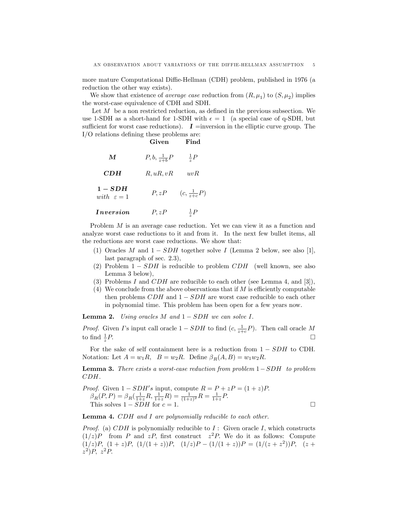more mature Computational Diffie-Hellman (CDH) problem, published in 1976 (a reduction the other way exists).

We show that existence of *average case* reduction from  $(R, \mu_1)$  to  $(S, \mu_2)$  implies the worst-case equivalence of CDH and SDH.

Let  $M$  be a non restricted reduction, as defined in the previous subsection. We use 1-SDH as a short-hand for 1-SDH with  $\epsilon = 1$  (a special case of q-SDH, but sufficient for worst case reductions).  $\bm{I}$  =inversion in the elliptic curve group. The  $I/O$  relations defining these problems are:

|                                     | Given                  | Find                  |
|-------------------------------------|------------------------|-----------------------|
| M                                   | $P, b, \frac{1}{z+b}P$ | $rac{1}{z}P$          |
| CDH                                 | R, uR, vR              | uvR                   |
| $1 - SDH$<br>with $\varepsilon = 1$ | P, zP                  | $(c, \frac{1}{z+c}P)$ |
| <i>Inversion</i>                    | P, zP                  | $rac{1}{z}P$          |

Problem M is an average case reduction. Yet we can view it as a function and analyze worst case reductions to it and from it. In the next few bullet items, all the reductions are worst case reductions. We show that:

- (1) Oracles M and  $1 SDH$  together solve I (Lemma 2 below, see also [1], last paragraph of sec. 2.3),
- (2) Problem  $1 SDH$  is reducible to problem  $CDH$  (well known, see also Lemma 3 below),
- (3) Problems I and  $CDH$  are reducible to each other (see Lemma 4, and [3]),
- (4) We conclude from the above observations that if  $M$  is efficiently computable then problems  $CDH$  and  $1 - SDH$  are worst case reducible to each other in polynomial time. This problem has been open for a few years now.

**Lemma 2.** Using oracles  $M$  and  $1 - SDH$  we can solve  $I$ .

*Proof.* Given *I*'s input call oracle  $1 - SDH$  to find  $(c, \frac{1}{z+c}P)$ . Then call oracle M to find  $\frac{1}{z}$  $P.$ 

For the sake of self containment here is a reduction from  $1 - SDH$  to CDH. Notation: Let  $A = w_1 R$ ,  $B = w_2 R$ . Define  $\beta_R(A, B) = w_1 w_2 R$ .

**Lemma 3.** There exists a worst-case reduction from problem  $1-SDH$  to problem CDH.

*Proof.* Given 
$$
1 - SDH's
$$
 input, compute  $R = P + zP = (1 + z)P$ .  $\beta_R(P, P) = \beta_R(\frac{1}{1+z}R, \frac{1}{1+z}R) = \frac{1}{(1+z)^2}R = \frac{1}{1+z}P$ . This solves  $1 - SDH$  for  $c = 1$ .  $\Box$ 

**Lemma 4.** CDH and I are polynomially reducible to each other.

*Proof.* (a)  $CDH$  is polynomially reducible to  $I$ : Given oracle  $I$ , which constructs  $(1/z)P$  from P and zP, first construct  $z^2P$ . We do it as follows: Compute  $(1/z)P, (1+z)P, (1/(1+z))P, (1/z)P - (1/(1+z))P = (1/(z + z<sup>2</sup>))P, (z + z<sup>2</sup>)$  $z^2$ )P,  $z^2$ P.